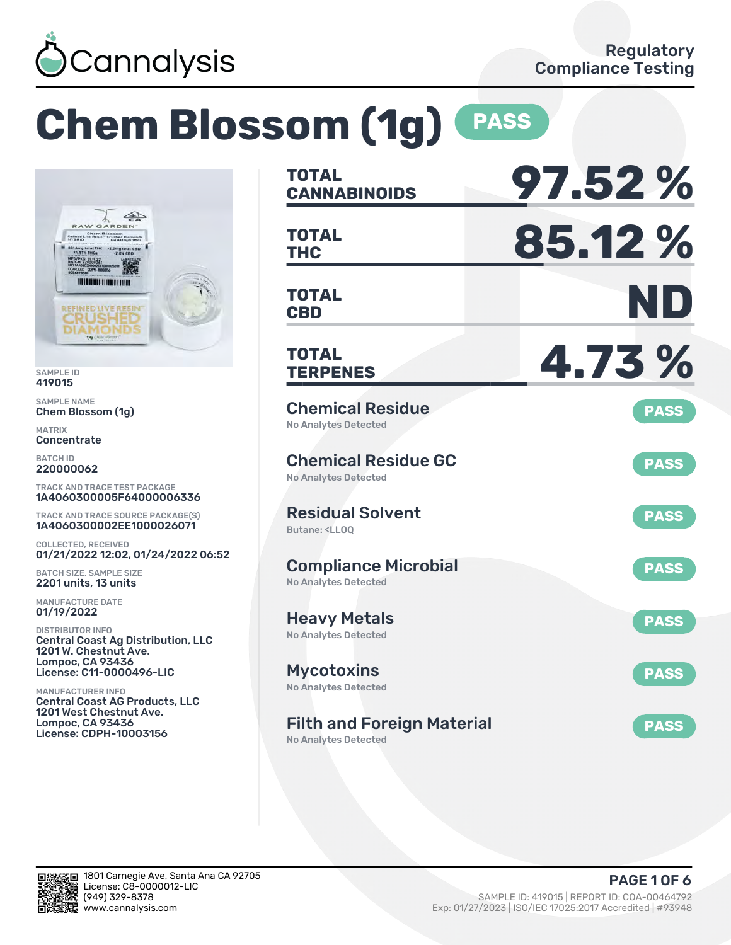

# **Chem Blossom (1g) PASS**



SAMPLE ID 419015

SAMPLE NAME Chem Blossom (1g)

MATRIX **Concentrate** 

BATCH ID 220000062

TRACK AND TRACE TEST PACKAGE 1A4060300005F64000006336

TRACK AND TRACE SOURCE PACKAGE(S) 1A4060300002EE1000026071

COLLECTED, RECEIVED 01/21/2022 12:02, 01/24/2022 06:52

BATCH SIZE, SAMPLE SIZE 2201 units, 13 units

MANUFACTURE DATE 01/19/2022

DISTRIBUTOR INFO Central Coast Ag Distribution, LLC 1201 W. Chestnut Ave. Lompoc, CA 93436 License: C11-0000496-LIC

MANUFACTURER INFO Central Coast AG Products, LLC 1201 West Chestnut Ave. Lompoc, CA 93436 License: CDPH-10003156

| <b>TOTAL</b><br><b>CANNABINOIDS</b>                                          | 97.52%      |
|------------------------------------------------------------------------------|-------------|
| <b>TOTAL</b><br><b>THC</b>                                                   | 85.12%      |
| <b>TOTAL</b><br><b>CBD</b>                                                   | ND          |
| <b>TOTAL</b><br><b>TERPENES</b>                                              | 4.73%       |
| <b>Chemical Residue</b><br><b>No Analytes Detected</b>                       | <b>PASS</b> |
| <b>Chemical Residue GC</b><br><b>No Analytes Detected</b>                    | <b>PASS</b> |
| <b>Residual Solvent</b><br>Butane: <lloq< td=""><td><b>PASS</b></td></lloq<> | <b>PASS</b> |
| <b>Compliance Microbial</b><br><b>No Analytes Detected</b>                   | <b>PASS</b> |
| <b>Heavy Metals</b><br><b>No Analytes Detected</b>                           | <b>PASS</b> |
| <b>Mycotoxins</b><br>No Analytes Detected                                    | <b>PASS</b> |
| <b>Filth and Foreign Material</b><br><b>No Analytes Detected</b>             | <b>PASS</b> |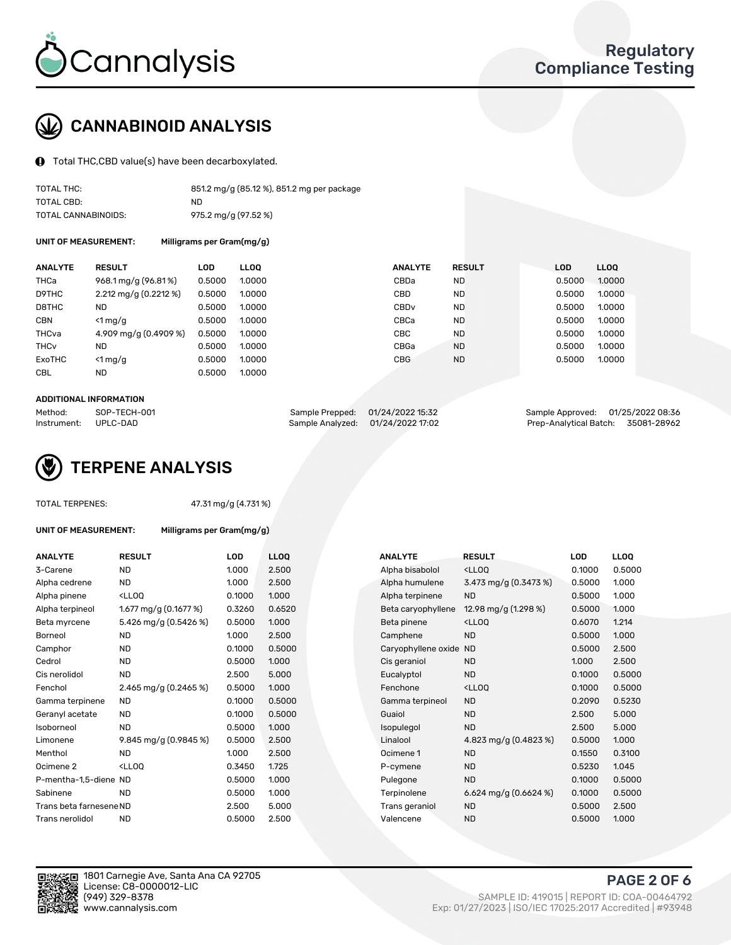

## CANNABINOID ANALYSIS

 $\bigoplus$  Total THC, CBD value(s) have been decarboxylated.

| TOTAL THC:          | 851.2 mg/g (85.12 %), 851.2 mg per package |
|---------------------|--------------------------------------------|
| TOTAL CBD:          | ND.                                        |
| TOTAL CANNABINOIDS: | 975.2 mg/g (97.52 %)                       |

UNIT OF MEASUREMENT:

| Milligrams per Gram(mg/g) |  |  |
|---------------------------|--|--|
|---------------------------|--|--|

| <b>ANALYTE</b>         | <b>RESULT</b>                           | <b>LOD</b> | <b>LLOO</b> | <b>ANALYTE</b>   | <b>RESULT</b> | <b>LOD</b> | <b>LLOO</b> |
|------------------------|-----------------------------------------|------------|-------------|------------------|---------------|------------|-------------|
| THCa                   | 968.1 mg/g (96.81%)                     | 0.5000     | 1.0000      | CBDa             | <b>ND</b>     | 0.5000     | 1.0000      |
| D9THC                  | $2.212 \text{ mg/g} (0.2212 \text{ %})$ | 0.5000     | 1.0000      | CBD              | <b>ND</b>     | 0.5000     | 1.0000      |
| D8THC                  | ND                                      | 0.5000     | 1.0000      | CBD <sub>v</sub> | <b>ND</b>     | 0.5000     | 1.0000      |
| <b>CBN</b>             | $\leq 1$ mg/g                           | 0.5000     | 1.0000      | CBCa             | <b>ND</b>     | 0.5000     | 1.0000      |
| THCva                  | 4.909 mg/g (0.4909 %)                   | 0.5000     | 1.0000      | <b>CBC</b>       | <b>ND</b>     | 0.5000     | 1.0000      |
| <b>THC<sub>v</sub></b> | <b>ND</b>                               | 0.5000     | 1.0000      | CBGa             | <b>ND</b>     | 0.5000     | 1.0000      |
| ExoTHC                 | $\leq 1$ mg/g                           | 0.5000     | 1.0000      | <b>CBG</b>       | <b>ND</b>     | 0.5000     | 1.0000      |
| <b>CBL</b>             | <b>ND</b>                               | 0.5000     | 1.0000      |                  |               |            |             |

#### ADDITIONAL INFORMATION

| Method:              | SOP-TECH-001 | Sample Prepped: 01/24/2022 15:32  | Sample Approved: 01/25/2022 08:36  |  |
|----------------------|--------------|-----------------------------------|------------------------------------|--|
| Instrument: UPLC-DAD |              | Sample Analyzed: 01/24/2022 17:02 | Prep-Analytical Batch: 35081-28962 |  |



#### TOTAL TERPENES: 47.31 mg/g (4.731 %)

| UNIT OF MEASUREMENT:      |                                                 | Milligrams per Gram(mg/g) |                |  |  |  |  |  |
|---------------------------|-------------------------------------------------|---------------------------|----------------|--|--|--|--|--|
| <b>ANALYTE</b>            | <b>RESULT</b>                                   | LOD                       | L              |  |  |  |  |  |
| 3-Carene                  | ND                                              | 1.000                     | $\overline{2}$ |  |  |  |  |  |
| Alpha cedrene             | ND                                              | 1.000                     | $\overline{2}$ |  |  |  |  |  |
| Alpha pinene              | <lloo< td=""><td>0.1000</td><td>1.</td></lloo<> | 0.1000                    | 1.             |  |  |  |  |  |
| Alpha terpineol           | 1.677 mg/g (0.1677 %)                           | 0.3260                    | $\Omega$       |  |  |  |  |  |
| Beta myrcene              | 5.426 mg/g (0.5426 %)                           | 0.5000                    | 1.             |  |  |  |  |  |
| Borneol                   | <b>ND</b>                                       | 1.000                     | $\overline{2}$ |  |  |  |  |  |
| $\bigcap$ - - - - - - - - | $\overline{\phantom{a}}$                        | 0.4000                    | $\sim$         |  |  |  |  |  |

| <b>ANALYTE</b>          | <b>RESULT</b>                                                                                                             | <b>LOD</b> | <b>LLOQ</b> | <b>ANALYTE</b>         | <b>RESULT</b>                                       | <b>LOD</b> | <b>LLOQ</b> |
|-------------------------|---------------------------------------------------------------------------------------------------------------------------|------------|-------------|------------------------|-----------------------------------------------------|------------|-------------|
| 3-Carene                | <b>ND</b>                                                                                                                 | 1.000      | 2.500       | Alpha bisabolol        | <ll0q< td=""><td>0.1000</td><td>0.5000</td></ll0q<> | 0.1000     | 0.5000      |
| Alpha cedrene           | ND.                                                                                                                       | 1.000      | 2.500       | Alpha humulene         | 3.473 mg/g $(0.3473\%)$                             | 0.5000     | 1.000       |
| Alpha pinene            | <lloq< td=""><td>0.1000</td><td>1.000</td><td>Alpha terpinene</td><td><b>ND</b></td><td>0.5000</td><td>1.000</td></lloq<> | 0.1000     | 1.000       | Alpha terpinene        | <b>ND</b>                                           | 0.5000     | 1.000       |
| Alpha terpineol         | 1.677 mg/g $(0.1677%)$                                                                                                    | 0.3260     | 0.6520      | Beta caryophyllene     | 12.98 mg/g $(1.298\%)$                              | 0.5000     | 1.000       |
| Beta myrcene            | 5.426 mg/g (0.5426 %)                                                                                                     | 0.5000     | 1.000       | Beta pinene            | <ll0q< td=""><td>0.6070</td><td>1.214</td></ll0q<>  | 0.6070     | 1.214       |
| Borneol                 | ND.                                                                                                                       | 1.000      | 2.500       | Camphene               | <b>ND</b>                                           | 0.5000     | 1.000       |
| Camphor                 | ND.                                                                                                                       | 0.1000     | 0.5000      | Caryophyllene oxide ND |                                                     | 0.5000     | 2.500       |
| Cedrol                  | <b>ND</b>                                                                                                                 | 0.5000     | 1.000       | Cis geraniol           | <b>ND</b>                                           | 1.000      | 2.500       |
| Cis nerolidol           | <b>ND</b>                                                                                                                 | 2.500      | 5.000       | Eucalyptol             | <b>ND</b>                                           | 0.1000     | 0.5000      |
| Fenchol                 | 2.465 mg/g (0.2465 %)                                                                                                     | 0.5000     | 1.000       | Fenchone               | <ll0q< td=""><td>0.1000</td><td>0.5000</td></ll0q<> | 0.1000     | 0.5000      |
| Gamma terpinene         | ND.                                                                                                                       | 0.1000     | 0.5000      | Gamma terpineol        | <b>ND</b>                                           | 0.2090     | 0.5230      |
| Geranyl acetate         | <b>ND</b>                                                                                                                 | 0.1000     | 0.5000      | Guaiol                 | <b>ND</b>                                           | 2.500      | 5.000       |
| Isoborneol              | ND.                                                                                                                       | 0.5000     | 1.000       | Isopulegol             | <b>ND</b>                                           | 2.500      | 5.000       |
| Limonene                | 9.845 mg/g (0.9845 %)                                                                                                     | 0.5000     | 2.500       | Linalool               | 4.823 mg/g $(0.4823\%)$                             | 0.5000     | 1.000       |
| Menthol                 | ND.                                                                                                                       | 1.000      | 2.500       | Ocimene 1              | <b>ND</b>                                           | 0.1550     | 0.3100      |
| Ocimene 2               | <lloq< td=""><td>0.3450</td><td>1.725</td><td>P-cymene</td><td><b>ND</b></td><td>0.5230</td><td>1.045</td></lloq<>        | 0.3450     | 1.725       | P-cymene               | <b>ND</b>                                           | 0.5230     | 1.045       |
| P-mentha-1,5-diene ND   |                                                                                                                           | 0.5000     | 1.000       | Pulegone               | <b>ND</b>                                           | 0.1000     | 0.5000      |
| Sabinene                | <b>ND</b>                                                                                                                 | 0.5000     | 1.000       | Terpinolene            | 6.624 mg/g $(0.6624\%)$                             | 0.1000     | 0.5000      |
| Trans beta farnesene ND |                                                                                                                           | 2.500      | 5.000       | Trans geraniol         | <b>ND</b>                                           | 0.5000     | 2.500       |
| Trans nerolidol         | <b>ND</b>                                                                                                                 | 0.5000     | 2.500       | Valencene              | <b>ND</b>                                           | 0.5000     | 1.000       |

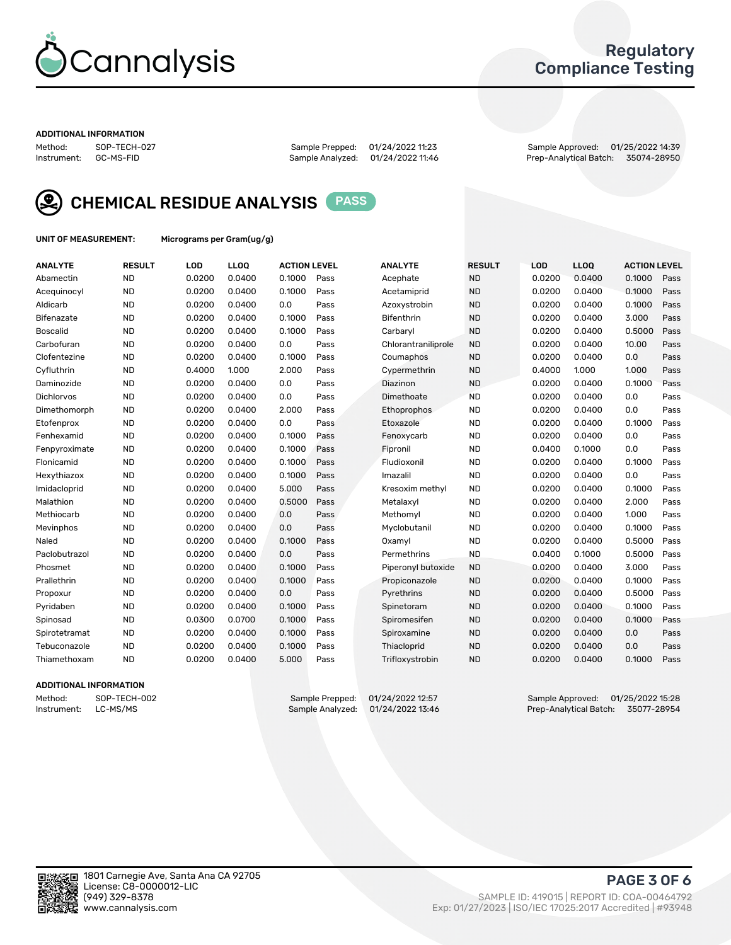

## Regulatory Compliance Testing

#### ADDITIONAL INFORMATION

Method: SOP-TECH-027 Sample Prepped: 01/24/2022 11:23 Sample Approved: 01/25/2022 14:39 Prep-Analytical Batch: 35074-28950



CHEMICAL RESIDUE ANALYSIS PASS

UNIT OF MEASUREMENT: Micrograms per Gram(ug/g)

| <b>ANALYTE</b>    | <b>RESULT</b> | LOD    | <b>LLOQ</b> | <b>ACTION LEVEL</b> |      | <b>ANALYTE</b>      | <b>RESULT</b> | LOD    | <b>LLOQ</b> | <b>ACTION LEVEL</b> |      |
|-------------------|---------------|--------|-------------|---------------------|------|---------------------|---------------|--------|-------------|---------------------|------|
| Abamectin         | <b>ND</b>     | 0.0200 | 0.0400      | 0.1000              | Pass | Acephate            | <b>ND</b>     | 0.0200 | 0.0400      | 0.1000              | Pass |
| Acequinocyl       | <b>ND</b>     | 0.0200 | 0.0400      | 0.1000              | Pass | Acetamiprid         | <b>ND</b>     | 0.0200 | 0.0400      | 0.1000              | Pass |
| Aldicarb          | <b>ND</b>     | 0.0200 | 0.0400      | 0.0                 | Pass | Azoxystrobin        | <b>ND</b>     | 0.0200 | 0.0400      | 0.1000              | Pass |
| Bifenazate        | <b>ND</b>     | 0.0200 | 0.0400      | 0.1000              | Pass | <b>Bifenthrin</b>   | <b>ND</b>     | 0.0200 | 0.0400      | 3.000               | Pass |
| <b>Boscalid</b>   | <b>ND</b>     | 0.0200 | 0.0400      | 0.1000              | Pass | Carbarvl            | <b>ND</b>     | 0.0200 | 0.0400      | 0.5000              | Pass |
| Carbofuran        | <b>ND</b>     | 0.0200 | 0.0400      | 0.0                 | Pass | Chlorantraniliprole | <b>ND</b>     | 0.0200 | 0.0400      | 10.00               | Pass |
| Clofentezine      | <b>ND</b>     | 0.0200 | 0.0400      | 0.1000              | Pass | Coumaphos           | <b>ND</b>     | 0.0200 | 0.0400      | 0.0                 | Pass |
| Cyfluthrin        | <b>ND</b>     | 0.4000 | 1.000       | 2.000               | Pass | Cypermethrin        | <b>ND</b>     | 0.4000 | 1.000       | 1.000               | Pass |
| Daminozide        | <b>ND</b>     | 0.0200 | 0.0400      | 0.0                 | Pass | Diazinon            | <b>ND</b>     | 0.0200 | 0.0400      | 0.1000              | Pass |
| <b>Dichlorvos</b> | <b>ND</b>     | 0.0200 | 0.0400      | 0.0                 | Pass | Dimethoate          | <b>ND</b>     | 0.0200 | 0.0400      | 0.0                 | Pass |
| Dimethomorph      | <b>ND</b>     | 0.0200 | 0.0400      | 2.000               | Pass | <b>Ethoprophos</b>  | <b>ND</b>     | 0.0200 | 0.0400      | 0.0                 | Pass |
| Etofenprox        | <b>ND</b>     | 0.0200 | 0.0400      | 0.0                 | Pass | Etoxazole           | <b>ND</b>     | 0.0200 | 0.0400      | 0.1000              | Pass |
| Fenhexamid        | <b>ND</b>     | 0.0200 | 0.0400      | 0.1000              | Pass | Fenoxycarb          | <b>ND</b>     | 0.0200 | 0.0400      | 0.0                 | Pass |
| Fenpyroximate     | <b>ND</b>     | 0.0200 | 0.0400      | 0.1000              | Pass | Fipronil            | <b>ND</b>     | 0.0400 | 0.1000      | 0.0                 | Pass |
| Flonicamid        | <b>ND</b>     | 0.0200 | 0.0400      | 0.1000              | Pass | Fludioxonil         | <b>ND</b>     | 0.0200 | 0.0400      | 0.1000              | Pass |
| Hexythiazox       | <b>ND</b>     | 0.0200 | 0.0400      | 0.1000              | Pass | Imazalil            | <b>ND</b>     | 0.0200 | 0.0400      | 0.0                 | Pass |
| Imidacloprid      | <b>ND</b>     | 0.0200 | 0.0400      | 5.000               | Pass | Kresoxim methyl     | <b>ND</b>     | 0.0200 | 0.0400      | 0.1000              | Pass |
| Malathion         | <b>ND</b>     | 0.0200 | 0.0400      | 0.5000              | Pass | Metalaxyl           | <b>ND</b>     | 0.0200 | 0.0400      | 2.000               | Pass |
| Methiocarb        | <b>ND</b>     | 0.0200 | 0.0400      | 0.0                 | Pass | Methomyl            | <b>ND</b>     | 0.0200 | 0.0400      | 1.000               | Pass |
| Mevinphos         | <b>ND</b>     | 0.0200 | 0.0400      | 0.0                 | Pass | Myclobutanil        | <b>ND</b>     | 0.0200 | 0.0400      | 0.1000              | Pass |
| Naled             | <b>ND</b>     | 0.0200 | 0.0400      | 0.1000              | Pass | Oxamyl              | <b>ND</b>     | 0.0200 | 0.0400      | 0.5000              | Pass |
| Paclobutrazol     | <b>ND</b>     | 0.0200 | 0.0400      | 0.0                 | Pass | Permethrins         | <b>ND</b>     | 0.0400 | 0.1000      | 0.5000              | Pass |
| Phosmet           | <b>ND</b>     | 0.0200 | 0.0400      | 0.1000              | Pass | Piperonyl butoxide  | <b>ND</b>     | 0.0200 | 0.0400      | 3.000               | Pass |
| Prallethrin       | <b>ND</b>     | 0.0200 | 0.0400      | 0.1000              | Pass | Propiconazole       | <b>ND</b>     | 0.0200 | 0.0400      | 0.1000              | Pass |
| Propoxur          | <b>ND</b>     | 0.0200 | 0.0400      | 0.0                 | Pass | Pyrethrins          | <b>ND</b>     | 0.0200 | 0.0400      | 0.5000              | Pass |
| Pyridaben         | <b>ND</b>     | 0.0200 | 0.0400      | 0.1000              | Pass | Spinetoram          | <b>ND</b>     | 0.0200 | 0.0400      | 0.1000              | Pass |
| Spinosad          | <b>ND</b>     | 0.0300 | 0.0700      | 0.1000              | Pass | Spiromesifen        | <b>ND</b>     | 0.0200 | 0.0400      | 0.1000              | Pass |
| Spirotetramat     | <b>ND</b>     | 0.0200 | 0.0400      | 0.1000              | Pass | Spiroxamine         | <b>ND</b>     | 0.0200 | 0.0400      | 0.0                 | Pass |
| Tebuconazole      | <b>ND</b>     | 0.0200 | 0.0400      | 0.1000              | Pass | Thiacloprid         | <b>ND</b>     | 0.0200 | 0.0400      | 0.0                 | Pass |
| Thiamethoxam      | <b>ND</b>     | 0.0200 | 0.0400      | 5.000               | Pass | Trifloxystrobin     | <b>ND</b>     | 0.0200 | 0.0400      | 0.1000              | Pass |

### ADDITIONAL INFORMATION

Method: SOP-TECH-002 Sample Prepped: 01/24/2022 12:57 Sample Approved: 01/25/2022 15:28<br>Sample Analyzed: 01/24/2022 13:46 Prep-Analytical Batch: 35077-28954 Prep-Analytical Batch: 35077-28954

PAGE 3 OF 6

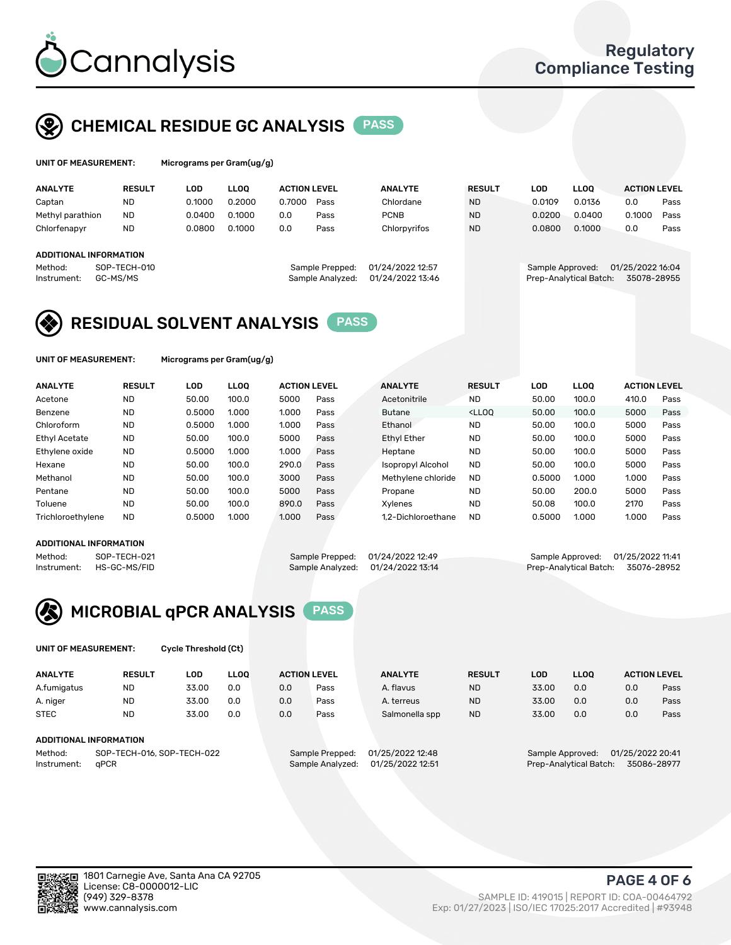

## CHEMICAL RESIDUE GC ANALYSIS PASS

| UNIT OF MEASUREMENT: | Micr |
|----------------------|------|
|----------------------|------|

rograms per Gram(ug/g)

| <b>RESULT</b> | LOD                                                | LLOO   |        |      | <b>ANALYTE</b>                                             | <b>RESULT</b>    | <b>LOD</b> | <b>LLOO</b> | <b>ACTION LEVEL</b>                        |                  |
|---------------|----------------------------------------------------|--------|--------|------|------------------------------------------------------------|------------------|------------|-------------|--------------------------------------------|------------------|
| <b>ND</b>     | 0.1000                                             | 0.2000 | 0.7000 | Pass | Chlordane                                                  | <b>ND</b>        | 0.0109     | 0.0136      | 0.0                                        | Pass             |
| <b>ND</b>     | 0.0400                                             | 0.1000 | 0.0    | Pass | <b>PCNB</b>                                                | <b>ND</b>        | 0.0200     | 0.0400      | 0.1000                                     | Pass             |
| <b>ND</b>     | 0.0800                                             | 0.1000 | 0.0    | Pass | Chlorpyrifos                                               | <b>ND</b>        | 0.0800     | 0.1000      | 0.0                                        | Pass             |
|               |                                                    |        |        |      |                                                            |                  |            |             |                                            |                  |
|               |                                                    |        |        |      |                                                            |                  |            |             |                                            |                  |
|               |                                                    |        |        |      |                                                            |                  |            |             |                                            |                  |
|               |                                                    |        |        |      | 01/24/2022 13:46                                           |                  |            |             | 35078-28955                                |                  |
|               | ADDITIONAL INFORMATION<br>SOP-TECH-010<br>GC-MS/MS |        |        |      | <b>ACTION LEVEL</b><br>Sample Prepped:<br>Sample Analyzed: | 01/24/2022 12:57 |            |             | Sample Approved:<br>Prep-Analytical Batch: | 01/25/2022 16:04 |

## RESIDUAL SOLVENT ANALYSIS PASS

UNIT OF MEASUREMENT: Micrograms per Gram(ug/g)

| <b>ANALYTE</b>       | <b>RESULT</b> | <b>LOD</b> | <b>LLOO</b> | <b>ACTION LEVEL</b> |      | <b>ANALYTE</b>           | <b>RESULT</b>                                                               | LOD    | <b>LLOO</b> | <b>ACTION LEVEL</b> |      |
|----------------------|---------------|------------|-------------|---------------------|------|--------------------------|-----------------------------------------------------------------------------|--------|-------------|---------------------|------|
| Acetone              | <b>ND</b>     | 50.00      | 100.0       | 5000                | Pass | Acetonitrile             | <b>ND</b>                                                                   | 50.00  | 100.0       | 410.0               | Pass |
| Benzene              | <b>ND</b>     | 0.5000     | 1.000       | 1.000               | Pass | <b>Butane</b>            | <lloo< td=""><td>50.00</td><td>100.0</td><td>5000</td><td>Pass</td></lloo<> | 50.00  | 100.0       | 5000                | Pass |
| Chloroform           | <b>ND</b>     | 0.5000     | 1.000       | 1.000               | Pass | Ethanol                  | <b>ND</b>                                                                   | 50.00  | 100.0       | 5000                | Pass |
| <b>Ethyl Acetate</b> | <b>ND</b>     | 50.00      | 100.0       | 5000                | Pass | <b>Ethyl Ether</b>       | <b>ND</b>                                                                   | 50.00  | 100.0       | 5000                | Pass |
| Ethylene oxide       | <b>ND</b>     | 0.5000     | 1.000       | 1.000               | Pass | Heptane                  | <b>ND</b>                                                                   | 50.00  | 100.0       | 5000                | Pass |
| Hexane               | <b>ND</b>     | 50.00      | 100.0       | 290.0               | Pass | <b>Isopropyl Alcohol</b> | <b>ND</b>                                                                   | 50.00  | 100.0       | 5000                | Pass |
| Methanol             | <b>ND</b>     | 50.00      | 100.0       | 3000                | Pass | Methylene chloride       | <b>ND</b>                                                                   | 0.5000 | 1.000       | 1.000               | Pass |
| Pentane              | <b>ND</b>     | 50.00      | 100.0       | 5000                | Pass | Propane                  | <b>ND</b>                                                                   | 50.00  | 200.0       | 5000                | Pass |
| Toluene              | <b>ND</b>     | 50.00      | 100.0       | 890.0               | Pass | Xvlenes                  | <b>ND</b>                                                                   | 50.08  | 100.0       | 2170                | Pass |
| Trichloroethylene    | <b>ND</b>     | 0.5000     | 1.000       | 1.000               | Pass | 1.2-Dichloroethane       | <b>ND</b>                                                                   | 0.5000 | 1.000       | 1.000               | Pass |

#### ADDITIONAL INFORMATION

Method: SOP-TECH-021 Sample Prepped: 01/24/2022 12:49 Sample Approved: 01/25/2022 11:41<br>Instrument: HS-GC-MS/FID Sample Analyzed: 01/24/2022 13:14 Prep-Analytical Batch: 35076-28952 Prep-Analytical Batch: 35076-28952



UNIT OF MEASUREMENT: Cycle Threshold (Ct)

| <b>ANALYTE</b>         | <b>RESULT</b>               | LOD   | <b>LLOO</b> | <b>ACTION LEVEL</b> |               | <b>ANALYTE</b> | <b>RESULT</b> | LOD               | <b>LLOO</b>    |     | <b>ACTION LEVEL</b> |
|------------------------|-----------------------------|-------|-------------|---------------------|---------------|----------------|---------------|-------------------|----------------|-----|---------------------|
| A.fumigatus            | <b>ND</b>                   | 33.00 | 0.0         | 0.0                 | Pass          | A. flavus      | <b>ND</b>     | 33.00             | 0.0            | 0.0 | Pass                |
| A. niger               | <b>ND</b>                   | 33.00 | 0.0         | 0.0                 | Pass          | A. terreus     | <b>ND</b>     | 33.00             | 0.0            | 0.0 | Pass                |
| <b>STEC</b>            | <b>ND</b>                   | 33.00 | 0.0         | 0.0                 | Pass          | Salmonella spp | <b>ND</b>     | 33.00             | 0.0            | 0.0 | Pass                |
| ADDITIONAL INFORMATION |                             |       |             |                     |               |                |               |                   |                |     |                     |
| $M = H = H$            | COD TEQUIO AL COD TEQUIO 20 |       |             | Comple Despond.     | 01/25/2022222 |                |               | Consele Annuausd. | 01/25/20022.44 |     |                     |

Method: SOP-TECH-016, SOP-TECH-022 Sample Prepped: 01/25/2022 Instrument: qPCR Sample Analyzed: 01/25/2022 12:51 Prep-Analytical Batch: 35086-28977

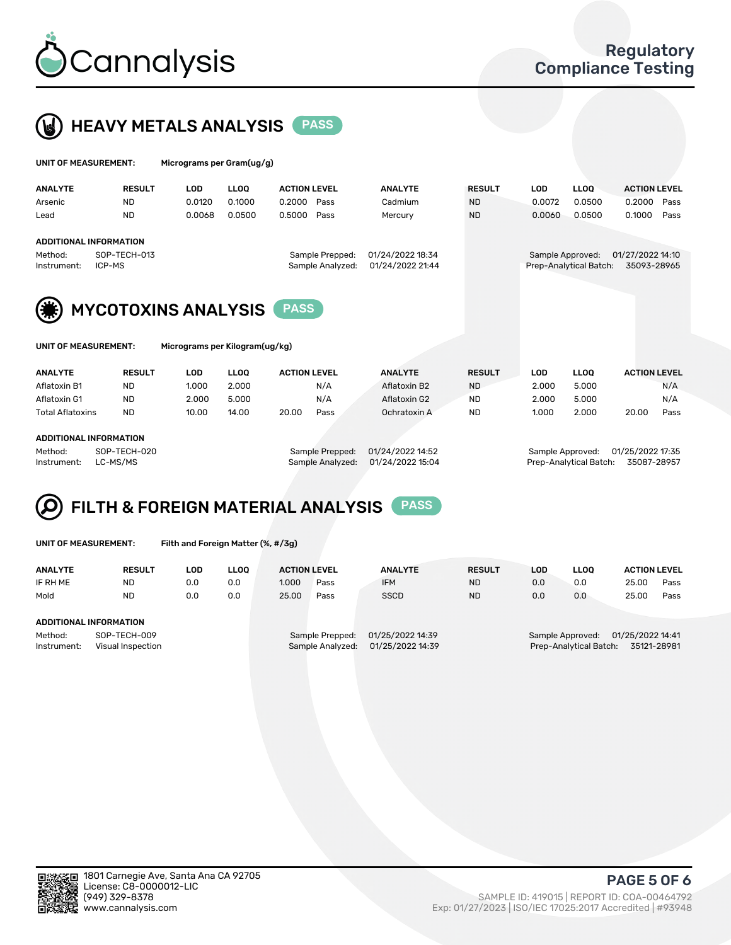



| UNIT OF MEASUREMENT:                             |                            | Micrograms per Gram(ug/g) |                                                                             |                     |      |                |                                                                               |            |             |                     |      |
|--------------------------------------------------|----------------------------|---------------------------|-----------------------------------------------------------------------------|---------------------|------|----------------|-------------------------------------------------------------------------------|------------|-------------|---------------------|------|
| <b>ANALYTE</b>                                   | <b>RESULT</b>              | <b>LOD</b>                | <b>LLOO</b>                                                                 | <b>ACTION LEVEL</b> |      | <b>ANALYTE</b> | <b>RESULT</b>                                                                 | <b>LOD</b> | <b>LLOO</b> | <b>ACTION LEVEL</b> |      |
| Arsenic                                          | ND.                        | 0.0120                    | 0.1000                                                                      | 0.2000              | Pass | Cadmium        | <b>ND</b>                                                                     | 0.0072     | 0.0500      | 0.2000              | Pass |
| Lead                                             | <b>ND</b>                  | 0.0068                    | 0.0500                                                                      | 0.5000              | Pass | Mercury        | <b>ND</b>                                                                     | 0.0060     | 0.0500      | 0.1000              | Pass |
|                                                  | ADDITIONAL INFORMATION     |                           |                                                                             |                     |      |                |                                                                               |            |             |                     |      |
| SOP-TECH-013<br>Method:<br>ICP-MS<br>Instrument: |                            |                           | 01/24/2022 18:34<br>Sample Prepped:<br>01/24/2022 21:44<br>Sample Analyzed: |                     |      |                | 01/27/2022 14:10<br>Sample Approved:<br>Prep-Analytical Batch:<br>35093-28965 |            |             |                     |      |
| (兼)                                              | <b>MYCOTOXINS ANALYSIS</b> |                           |                                                                             | <b>PASS</b>         |      |                |                                                                               |            |             |                     |      |

UNIT OF MEASUREMENT: Micrograms per Kilogram(ug/kg)

| <b>ANALYTE</b>          | <b>RESULT</b> | LOD   | <b>LLOO</b> | <b>ACTION LEVEL</b> |      | <b>ANALYTE</b> | <b>RESULT</b> | LOD   |       | <b>LLOO</b> |       | <b>ACTION LEVEL</b> |
|-------------------------|---------------|-------|-------------|---------------------|------|----------------|---------------|-------|-------|-------------|-------|---------------------|
| Aflatoxin B1            | <b>ND</b>     | 1.000 | 2.000       |                     | N/A  | Aflatoxin B2   | <b>ND</b>     |       | 2.000 | 5.000       |       | N/A                 |
| Aflatoxin G1            | <b>ND</b>     | 2.000 | 5.000       |                     | N/A  | Aflatoxin G2   | <b>ND</b>     |       | 2.000 | 5.000       |       | N/A                 |
| <b>Total Aflatoxins</b> | <b>ND</b>     | 10.00 | 14.00       | 20.00               | Pass | Ochratoxin A   | <b>ND</b>     | 1.000 |       | 2.000       | 20.00 | Pass                |
|                         |               |       |             |                     |      |                |               |       |       |             |       |                     |
|                         |               |       |             |                     |      |                |               |       |       |             |       |                     |

#### ADDITIONAL INFORMATION

Method: SOP-TECH-020 Sample Prepped: 01/24/2022 14:52 Sample Approved: 01/25/2022 17:35 Instrument: LC-MS/MS Sample Analyzed: 01/24/2022 15:04 Prep-Analytical Batch: 35087-28957

# FILTH & FOREIGN MATERIAL ANALYSIS PASS

UNIT OF MEASUREMENT: Filth and Foreign Matter (%, #/3g)

| <b>ANALYTE</b>                                              | <b>RESULT</b> | LOD. | LLOO | <b>ACTION LEVEL</b> |                                     | <b>ANALYTE</b>                       | <b>RESULT</b> | LOD                                                                           | <b>LLOO</b> | <b>ACTION LEVEL</b> |      |
|-------------------------------------------------------------|---------------|------|------|---------------------|-------------------------------------|--------------------------------------|---------------|-------------------------------------------------------------------------------|-------------|---------------------|------|
| IF RH ME                                                    | <b>ND</b>     | 0.0  | 0.0  | 1.000               | Pass                                | <b>IFM</b>                           | <b>ND</b>     | 0.0                                                                           | 0.0         | 25.00               | Pass |
| Mold                                                        | <b>ND</b>     | 0.0  | 0.0  | 25.00               | Pass                                | <b>SSCD</b>                          | <b>ND</b>     | 0.0                                                                           | 0.0         | 25.00               | Pass |
| ADDITIONAL INFORMATION                                      |               |      |      |                     |                                     |                                      |               |                                                                               |             |                     |      |
| Method:<br>SOP-TECH-009<br>Instrument:<br>Visual Inspection |               |      |      |                     | Sample Prepped:<br>Sample Analyzed: | 01/25/2022 14:39<br>01/25/2022 14:39 |               | 01/25/2022 14:41<br>Sample Approved:<br>Prep-Analytical Batch:<br>35121-28981 |             |                     |      |